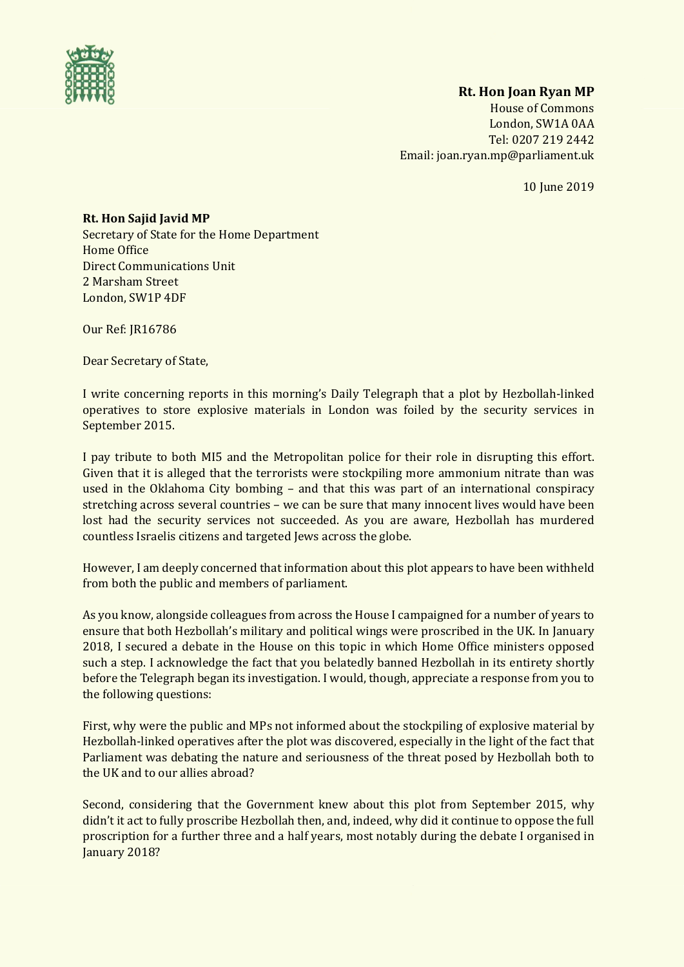

## **Rt. Hon Joan Ryan MP**

House of Commons London, SW1A 0AA Tel: 0207 219 2442 Email: joan.ryan.mp@parliament.uk

10 June 2019

## **Rt. Hon Sajid Javid MP**

Secretary of State for the Home Department Home Office Direct Communications Unit 2 Marsham Street London, SW1P 4DF

Our Ref: JR16786

Dear Secretary of State,

I write concerning reports in this morning's Daily Telegraph that a plot by Hezbollah-linked operatives to store explosive materials in London was foiled by the security services in September 2015.

I pay tribute to both MI5 and the Metropolitan police for their role in disrupting this effort. Given that it is alleged that the terrorists were stockpiling more ammonium nitrate than was used in the Oklahoma City bombing – and that this was part of an international conspiracy stretching across several countries – we can be sure that many innocent lives would have been lost had the security services not succeeded. As you are aware, Hezbollah has murdered countless Israelis citizens and targeted Jews across the globe.

However, I am deeply concerned that information about this plot appears to have been withheld from both the public and members of parliament.

As you know, alongside colleagues from across the House I campaigned for a number of years to ensure that both Hezbollah's military and political wings were proscribed in the UK. In January 2018, I secured a debate in the House on this topic in which Home Office ministers opposed such a step. I acknowledge the fact that you belatedly banned Hezbollah in its entirety shortly before the Telegraph began its investigation. I would, though, appreciate a response from you to the following questions:

First, why were the public and MPs not informed about the stockpiling of explosive material by Hezbollah-linked operatives after the plot was discovered, especially in the light of the fact that Parliament was debating the nature and seriousness of the threat posed by Hezbollah both to the UK and to our allies abroad?

Second, considering that the Government knew about this plot from September 2015, why didn't it act to fully proscribe Hezbollah then, and, indeed, why did it continue to oppose the full proscription for a further three and a half years, most notably during the debate I organised in January 2018?